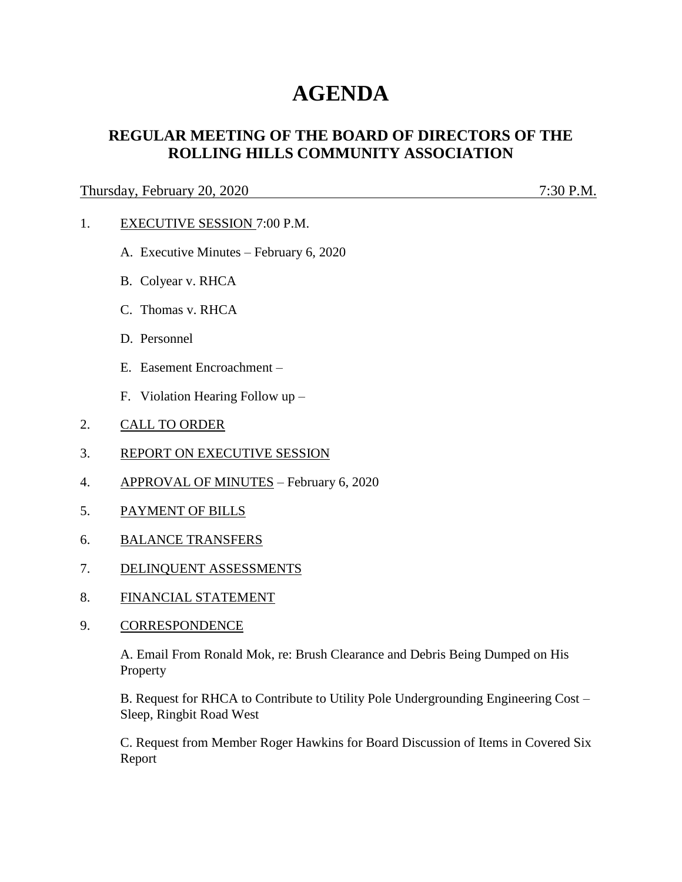# **AGENDA**

## **REGULAR MEETING OF THE BOARD OF DIRECTORS OF THE ROLLING HILLS COMMUNITY ASSOCIATION**

### Thursday, February 20, 2020 7:30 P.M.

- 1. EXECUTIVE SESSION 7:00 P.M.
	- A. Executive Minutes February 6, 2020
	- B. Colyear v. RHCA
	- C. Thomas v. RHCA
	- D. Personnel
	- E. Easement Encroachment –
	- F. Violation Hearing Follow up –
- 2. CALL TO ORDER
- 3. REPORT ON EXECUTIVE SESSION
- 4. APPROVAL OF MINUTES February 6, 2020
- 5. PAYMENT OF BILLS
- 6. BALANCE TRANSFERS
- 7. DELINQUENT ASSESSMENTS
- 8. FINANCIAL STATEMENT
- 9. CORRESPONDENCE

A. Email From Ronald Mok, re: Brush Clearance and Debris Being Dumped on His Property

B. Request for RHCA to Contribute to Utility Pole Undergrounding Engineering Cost – Sleep, Ringbit Road West

C. Request from Member Roger Hawkins for Board Discussion of Items in Covered Six Report